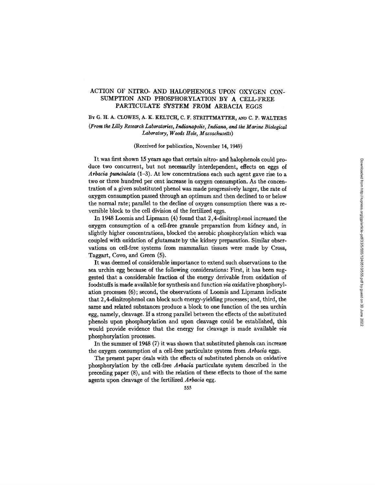# ACTION OF NITRO- AND HALOPHENOLS UPON OXYGEN CON-SUMPTION AND PHOSPHORYLATION BY A CELL-FREE PARTICULATE SYSTEM FROM ARBACIA EGGS

## BY G. H. A. CLOWES, A. K. KELTCH, C. F. STRITTMATTER, AND C. P. WALTERS

*(From the Lilly Research Laboratories, Indianapolis, Indiana, and the Marine Biological Laboratory, Woods Hole, Massachusetts)* 

## (Received for publication, November 14, 1949)

It was first shown 15 years ago that certain nitro- and halophenols could produce two concurrent, but not necessarily interdependent, effects on eggs of *Arbacia punctulata* (1-3). At low concentrations each such agent gave rise to a two or three hundred per cent increase in oxygen consumption. As the concentration of a given substituted phenol was made progressively larger, the rate of oxygen consumption passed through an optimum and then declined to or below the normal rate; parallel to the decline of oxygen consumption there was a reversible block to the cell division of the fertilized eggs.

In 1948 Loomis and Lipmann (4) found that 2,4-dinitrophenol increased the oxygen consumption of a cell-free granule preparation from kidney and, in slightly higher concentrations, blocked the aerobic phosphorylation which was coupled with oxidation of glutamate by the kidney preparation. Similar observations on cell-free systems from mammalian tissues were made by Cross, Taggart, Covo, and Green  $(5)$ .

It was deemed of considerable importance to extend such observations to the sea urchin egg because of the following considerations: First, it has been suggested that a considerable fraction of the energy derivable from oxidation of foodstuffs is made available for synthesis and function *via* oxidative phosphorylation processes (6); second, the observations of Loomis and Lipmann indicate that 2,4-dinitrophenol can block such energy-yielding processes; and, third, the same and related substances produce a block to one function of the sea urchin egg, namely, cleavage. If a strong parallel between the effects of the substituted phenols upon phosphorylation and upon cleavage could be established, this would provide evidence that the energy for cleavage is made available  $via$ phosphorylation processes.

In the summer of 1948 (7) it was shown that substituted phenols can increase the oxygen consumption of a cell-free particulate system from *Arbacia* eggs.

The present paper deals with the effects of substituted phenols on oxidative phosphorylation by the cell-free *Arbacia* particulate system described in the preceding paper (8), and with the relation of these effects to those of the same agents upon cleavage of the fertilized *Arbacia* egg.

555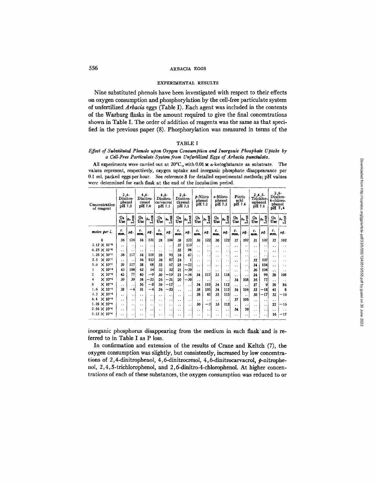#### ARBACIA EGGS

#### EXPERIMENTAL RESULTS

Nine substituted phenols have been investigated with respect to their effects on oxygen consumption and phosphorylation by the cell-free particulate system of unfertilized Arbacia eggs (Table I). Each agent was included in the contents of the Warburg flasks in the amount required to give the final concentrations shown in Table I. The order of addition of reagents was the same as that specified in the previous paper (8). Phosphorylation was measured in terms of the

#### **TABLE I**

## Effect of Substituted Phenols upon Oxygen Consumption and Inorganic Phosphate Uptake by a Cell-Free Particulate System from Unfertilized Eggs of Arbacia punctulata.

All experiments were carried out at 20°C., with 0.01 M a-ketoglutarate as substrate. The values represent, respectively, oxygen uptake and inorganic phosphate disappearance per 0.1 ml. packed eggs per hour. See reference 8 for detailed experimental methods; pH values were determined for each flask at the end of the incubation period.

| Concentration<br>of reagent | $2,4-$<br>Dinitro-<br>phenol<br>pH 7.2 |                      | $4.6 -$<br>Dinitro-<br>cresol<br>pH 7.0 |                      | -4.6<br>Dinitro-<br>carvacrol<br>pH 7.1 |                      | $2,4-$<br>Dinitro-<br>thymol<br>pH 7.1 |                      | s-Nitro<br>phenol<br>pH 7.2 |                      | o-Nitro-<br>phenol<br>pH 7.2 |                      | Picric<br>acid<br>pH 7.4 |                      | -3,4,5<br>Trichlor-<br>ophenol<br>pH 7.1 |                      | $2.6 -$<br>Dinitro-<br>4-chioro-<br>phenol<br>pH 7.4 |                      |
|-----------------------------|----------------------------------------|----------------------|-----------------------------------------|----------------------|-----------------------------------------|----------------------|----------------------------------------|----------------------|-----------------------------|----------------------|------------------------------|----------------------|--------------------------|----------------------|------------------------------------------|----------------------|------------------------------------------------------|----------------------|
|                             | O,<br>Use                              | Loss                 | о.<br>Use                               | 038<br>ىم<br>د،      | 01<br>Use                               | $P_{\text{S}8}$      | о.<br>Use                              | <b>QSS</b><br>⊐      | о,<br>Use                   | $\mathbf{L_{oss}}$   | О2<br>Use                    | Loss                 | 0 <sub>2</sub><br>Use    | Loss                 | O <sub>2</sub><br>Use                    | Loss                 | о.<br>Use                                            | $a^{\alpha}$<br>' S  |
| moles per l.                | с.<br>mm.                              | μg.                  | с.<br>mm.                               | μg.                  | с.<br><b>mm.</b>                        | μg.                  | с.<br>mm.                              | μg.                  | с.<br>mm.                   | μг.                  | с.<br>mm.                    | μг.                  | c.<br>mm.                | μг.                  | с.<br>mm.                                | μg.                  | c.<br>mm.                                            | нg.                  |
| û                           | 36                                     | 126                  | 34                                      | 131                  | 28                                      | 104                  | 38                                     | 122                  | 30                          | 122                  | 30                           | 122                  | 37                       | 102                  | 31                                       | 102                  | 37                                                   | 102                  |
| $3.12 \times 10^{-5}$       | . .                                    | $\cdot$ .            | . .                                     | $\cdot$ .            | $\ddot{\phantom{0}}$                    | $\ddot{\phantom{a}}$ | 37                                     | 113                  | . .                         | . .                  | . .                          | $\ddot{\phantom{1}}$ | $\cdot$ .                | $\ddot{\phantom{0}}$ | . .                                      | $\ddot{\phantom{1}}$ | $\ddot{\phantom{0}}$                                 | . .                  |
| $6.25 \times 10^{-5}$       | $\ddot{\phantom{1}}$                   | $\ddot{\phantom{0}}$ | $\ddot{\phantom{0}}$                    | . .                  | $\ddot{\phantom{0}}$                    | $\ddotsc$            | 35                                     | 98                   | $\ddot{\phantom{0}}$        | $\cdot$ .            | $\ddot{\phantom{0}}$         | $\ddot{\phantom{0}}$ | . .                      | . .                  | $\ddot{\phantom{0}}$                     | $\ddot{\phantom{1}}$ | . .                                                  | . .                  |
| $1.25 \times 10^{-7}$       | 36                                     | 117                  | 34                                      | 119                  | 28                                      | 93                   | 34                                     | 67                   | $\ddot{\phantom{0}}$        | $\ddot{\phantom{1}}$ | . .                          | $\ddot{\phantom{a}}$ |                          | . .                  | $\cdot$ .                                | $\ddot{\phantom{1}}$ | $\ddot{\phantom{a}}$                                 | $\ddot{\phantom{1}}$ |
| 2.5<br>$\times 10^{-7}$     | . .                                    | $\ddot{\phantom{0}}$ | 34                                      | 112                  | 30                                      | 87                   | 24                                     | 1                    | $\ddot{\phantom{1}}$        | $\ddot{\phantom{1}}$ | $\cdot$                      | $\ddot{\phantom{1}}$ | $\ddot{\phantom{1}}$     | $\ddot{\phantom{0}}$ | 32                                       | 107                  | $\ddot{\phantom{1}}$                                 | . .                  |
| $\times 10^{-7}$<br>5.0     | 39                                     | 117                  | 38                                      | 68                   | 32                                      | 67                   | 25                                     | $-22$                | $\ddot{\phantom{a}}$        | $\ddot{\phantom{1}}$ | . .                          | . .                  | . .                      | $\ddot{\phantom{0}}$ | 34                                       | 104                  | $\ddot{\phantom{0}}$                                 | . .                  |
| $\times 10^{-6}$<br>1       | 43                                     | 108                  | 42                                      | 54                   | 32                                      | 32 <sup>1</sup>      | 21                                     | $-30$                | . .                         | $\ddot{\phantom{1}}$ | . .                          | . .                  | $\ddotsc$                | . .                  | 36                                       | 104                  | $\ddot{\phantom{0}}$                                 | . .                  |
| $\times 10^{-4}$<br>2       | 42                                     | 77                   | 40                                      | $-9$                 | 30                                      | $-19$                | 21                                     | $-34$                | 34                          | 117                  | 33                           | 118                  | $\ddot{\phantom{0}}$     | $\cdot$ .            | 34                                       | 99                   | 38                                                   | 108                  |
| $\times 10^{-6}$<br>4       | 39                                     | 39                   | 34                                      | $-22$                | 26                                      | $-21$                | 20                                     | $-30$                | . .                         | $\ddot{\phantom{0}}$ | $\ddot{\phantom{1}}$         | . .                  | 34                       | 108                  | 36                                       | 77                   | $\ddot{\phantom{0}}$                                 | . .                  |
| $\times 10^{-5}$<br>8       | $\ddot{\phantom{1}}$                   | $\ddot{\phantom{1}}$ | 36                                      | $-8$                 | 30                                      | $-17$                | $\ddot{\phantom{a}}$                   | $\ddot{\phantom{0}}$ | 34                          | 115                  | 34                           | 112                  | ٠.                       | . .                  | 37                                       | 9                    | 39                                                   | 86                   |
| $\times 10^{-5}$<br>1.6     | 38                                     | $-4$                 | 31                                      | $-4$                 | 26                                      | $-20$                | . .                                    | . .                  | 38                          | 105                  | 34                           | 112                  | 34                       | 104                  | 32                                       | $-18$                | 41                                                   | 8                    |
| 3.2<br>$\times 10^{-5}$     | $\ddot{\phantom{0}}$                   | . .                  | $\ddot{\phantom{a}}$                    | $\ddot{\phantom{0}}$ | $\ddotsc$                               | $\ddot{\phantom{1}}$ | . .                                    | $\cdot$ $\cdot$      | 38                          | 65                   | 35                           | 115                  | $\ddotsc$                | $\ddot{\phantom{0}}$ | 30                                       | $-17$                | 32                                                   | $-10$                |
| $\times 10^{-5}$<br>6,4     | . .                                    | $\cdot$ .            | $\ddot{\phantom{0}}$                    | $\sim$ $\sim$        | . .                                     | $\ddot{\phantom{a}}$ | $\ddot{\phantom{a}}$                   | $\cdot$ .            | $\ddot{\phantom{1}}$        | $\cdot$              | $\ddot{\phantom{1}}$         | $\ddot{\phantom{1}}$ | 37                       | 106                  | $\cdot$ .                                | $\ddot{\phantom{0}}$ | $\ddot{\phantom{0}}$                                 | $\sim$ $\sim$        |
| $1.28 \times 10^{-4}$       | . .                                    | $\ddot{\phantom{0}}$ | $\ddotsc$                               | $\ddot{\phantom{0}}$ | $\ddot{\phantom{0}}$                    | $\ddot{\phantom{0}}$ | . .                                    | $\ddot{\phantom{0}}$ | 30                          | $-3$                 | 33                           | 112                  | $\ddot{\phantom{0}}$     | $\ddot{\phantom{1}}$ | $\ddot{\phantom{0}}$                     | $\ddot{\phantom{0}}$ | 22                                                   | $-16$                |
| $2.56 \times 10^{-4}$       | . .                                    | $\cdot$ .            | $\ddot{\phantom{0}}$                    | . .                  | $\ddot{\phantom{0}}$                    | . .                  | $\ddot{\phantom{a}}$                   | $\cdot$ .            | $\ddot{\phantom{1}}$        | . .                  | $\ddot{\phantom{0}}$         | $\ddot{\phantom{1}}$ | 34                       | 70                   | $\ddot{\phantom{1}}$                     | $\sim$ $\sim$ $\,$   | $\ddot{\phantom{0}}$                                 | $\ddotsc$            |
| $5.12 \times 10^{-4}$       | . .                                    | $\cdot$ .            | . .                                     | . .                  | $\cdot$                                 | $\ddot{\phantom{0}}$ | . .                                    |                      |                             |                      | $\ddot{\phantom{0}}$         | $\cdots$             | . .                      | $\ddot{\phantom{0}}$ |                                          | $\sim$ $\sim$        | 16                                                   | -17                  |

inorganic phosphorus disappearing from the medium in each flask and is referred to in Table I as P loss.

In confirmation and extension of the results of Crane and Keltch (7), the oxygen consumption was slightly, but consistently, increased by low concentrations of 2,4-dinitrophenol, 4,6-dinitrocresol, 4,6-dinitrocarvacrol,  $p$ -nitrophenol, 2, 4, 5-trichlorophenol, and 2, 6-dinitro-4-chlorophenol. At higher concentrations of each of these substances, the oxygen consumption was reduced to or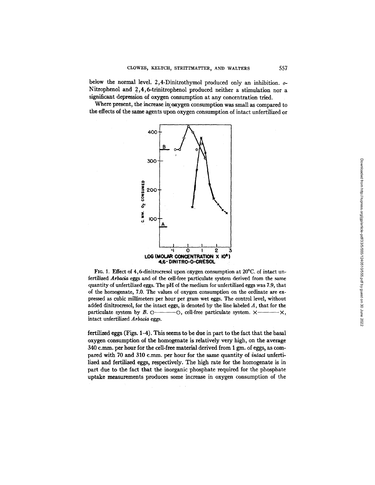below the normal level. 2,4-Dinitrothymol produced only an inhibition, o-Nitrophenol and 2,4,6-trinitrophenol produced neither a stimulation nor a significant depression of oxygen consumption at any concentration tried.

Where present, the increase in oxygen consumption was small as compared to the effects of the same agents upon oxygen consumption of intact unfertilized or



FIG. 1. Effect of 4,6-dinitrocresol upon oxygen consumption at  $20^{\circ}$ C. of intact unfertilized *Arbacia* eggs and of the cell-free particulate system derived from the same quantity of unfertilized eggs. The pH of the medium for unfertilized eggs was 7.9, that of the homogenate, 7.0. The values of oxygen consumption on the ordinate are expressed as cubic millimeters per hour per gram wet eggs. The control level, without added dinitrocresol, for the intact eggs, is denoted by the line labeled  $A$ , that for the particulate system by B.  $\circ$ ——— $\circ$ , cell-free particulate system.  $\times$ —— $\times$ , intact unfertilized *Arbacia* eggs.

fertilized eggs (Figs. 1-4). This seems to be due in part to the fact that the basal oxygen consumption of the homogenate is relatively very high, on the average  $340$  c.mm. per hour for the cell-free material derived from 1 gm. of eggs, as compared with 70 and 310 c.mm. per hour for the same quantity of *intact* unfertilized and fertilized eggs, respectively. The high rate for the homogenate is in part due to the fact that the inorganic phosphate required for the phosphate uptake measurements produces some increase in oxygen consumption of the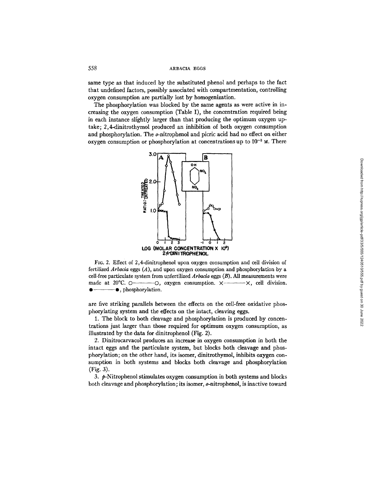## 558 ARBACIA EGGS

same type as that induced by the substituted phenol and perhaps to the fact that undefined factors, possibly associated with compartmentation, controlling oxygen consumption are partially lost by homogenization.

The phosphorylation was blocked by the same agents as were active in increasing the oxygen consumption (Table I), the concentration required being in each instance slightly larger than that producing the optimum oxygen uptake; 2,4-dinitrothymol produced an inhibition of both oxygen consumption and phosphorylation. The o-nitrophenol and picric acid had no effect on either oxygen consumption or phosphorylation at concentrations up to  $10^{-3}$   $\mu$ . There



FI6. 2. Effect of 2,4-dinltrophenol upon oxygen consumption and cell division of fertilized *Arbacia* eggs (A), and upon oxygen consumption and phosphorylation by a cell-free particulate system from unfertilized Arbacia eggs (B). All measurements were made at  $20^{\circ}$ C.  $\circ$ ———— $\circ$ , oxygen consumption.  $\times$ —— $\times$ , cell division.  $\bullet$  -  $\bullet$ , phosphorylation.

are five striking parallels between the effects on the cell-free oxidative phosphorylating system and the effects on the intact, cleaving eggs.

1. The block to both cleavage and phosphorylation is produced by concentrations just larger than those required for optimum oxygen consumption, as illustrated by the data for dinitrophenol (Fig. 2).

2. Dinitrocarvacol produces an increase in oxygen consumption in both the intact eggs and the particulate system, but blocks both cleavage and phosphorylation; on the other hand, its isomer, dinitrothymol, inhibits oxygen consumption in both systems and blocks both cleavage and phosphorylation (Fig. 3).

3.  $\phi$ -Nitrophenol stimulates oxygen consumption in both systems and blocks both cleavage and phosphorylation, its isomer, o-nitrophenol, is inactive toward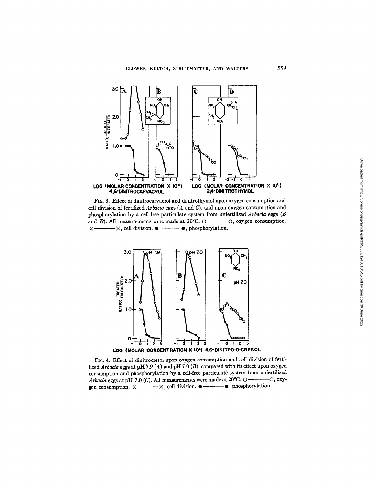

FIG. 3. Effect of dinitrocarvacrol and dinitrothymol upon oxygen consumption and cell division of fertilized  $Arbacia$  eggs  $(A \text{ and } C)$ , and upon oxygen consumption and phosphorylation by a cell-free particulate system from unfertilized Arbacia eggs (B and  $D$ ). All measurements were made at 20°C. O--O, oxygen consumption.  $\times$   $\times$   $\times$   $\times$  cell division.  $\bullet$   $\times$   $\bullet$  , phosphorylation.



FIG. 4. Effect of dinitrocresol upon oxygen consumption and cell division of fertilized Arbacia eggs at pH 7.9 (A) and pH 7.0 (B), compared with its effect upon oxygen consumption and phosphorylation by a cell-free particulate system from unfertilized Arbacia eggs at pH 7.0 (C). All measurements were made at 20°C.  $\circ$ - $-O, oxy-$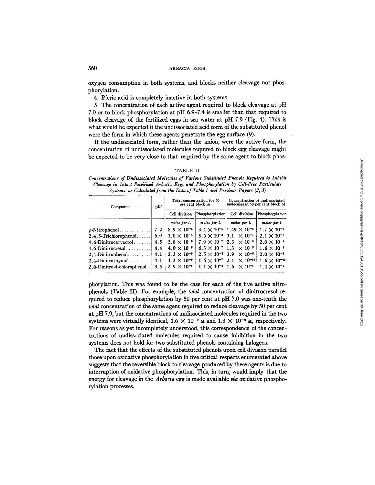oxygen consumption in both systems, and blocks neither cleavage nor phosphorylation.

4. Picric acid is completely inactive in both systems.

5. The concentration of each active agent required to block cleavage at pH 7.0 or to block phosphorylation at pH 6.9-7.4 is smaller than that required to block cleavage of the fertilized eggs in sea water at pH 7.9 (Fig. 4). This is what would be expected if the undissociated acid form of the substituted phenol were the form in which these agents penetrate the egg surface (9).

If the undissociated form, rather than the anion, were the active form, the concentration of undissociated molecules required to block egg cleavage might be expected to be very close to that required by the same agent to block phos-

| × |  |
|---|--|
|---|--|

*Concentrations of Undissociated Molecules of Various Substituted Phenols Required to Inhibit Cleavage in Intact Fertilized Arbacia Eggs and Phosphorylation by Cell-Free Particulate Systems, as Calculated from the Data of Table I and Previous Papers (2, 3)* 

| Compound                    | pK' |                      | Total concentration for 50<br>per cent block in: | Concentration of undissociated<br>molecules at 50 per cent block of: |                       |  |  |  |
|-----------------------------|-----|----------------------|--------------------------------------------------|----------------------------------------------------------------------|-----------------------|--|--|--|
|                             |     | Cell division        | Phosphorylation                                  | Cell division                                                        | Phosphorylation       |  |  |  |
|                             |     | moles per l.         | moles per l.                                     | moles per l.                                                         | moles per l.          |  |  |  |
| $\phi$ -Nitrophenol         | 7.2 | $8.9 \times 10^{-5}$ |                                                  | $3.4 \times 10^{-6}$ 11.49 $\times 10^{-6}$                          | $1.7 \times 10^{-5}$  |  |  |  |
| $2, 4, 5$ -Trichlorophenol  | 6.9 | $1.0 \times 10^{-5}$ |                                                  | $5.6 \times 10^{-6}$ 9.1 $\times 10^{-7}$                            | $2.1 \times 10^{-6}$  |  |  |  |
| $4, 6$ -Dinitrocarvacrol    | 4.5 | $5.8 \times 10^{-6}$ | $7.9 \times 10^{-7}$                             | $ 2.3 \times 10^{-9} $                                               | $2.0 \times 10^{-9}$  |  |  |  |
| $4, 6$ -Dinitrocresol       | 4.4 | $4.0 \times 10^{-6}$ |                                                  | $6.3 \times 10^{-7}$ 11.3 $\times 10^{-9}$                           | $1.6 \times 10^{-9}$  |  |  |  |
| $2,4$ -Dinitrophenol        | 4.1 | $2.3 \times 10^{-6}$ |                                                  | $2.5 \times 10^{-6}$ 3.9 $\times 10^{-9}$                            | $2.0 \times 10^{-9}$  |  |  |  |
| $2,4$ -Dinitrothymol        | 4.1 | $1.3 \times 10^{-6}$ | $1.6 \times 10^{-7}$                             | $ 2.1 \times 10^{-10} $                                              | $1.6 \times 10^{-10}$ |  |  |  |
| 2, 6-Dinitro-4-chlorophenol | 3.5 | $3.9 \times 10^{-4}$ |                                                  | $1.1 \times 10^{-5}$ 1.6 $\times 10^{-8}$                            | $1.4 \times 10^{-9}$  |  |  |  |

phorylation. This was found to be the case for each of the five active nitrophenols (Table II). For example, the tota/ concentration of dinitrocresol required to reduce phosphorylation by 50 per cent at pH 7.0 was one-tenth the total concentration of the same agent required to reduce cleavage by 50 per cent at pH 7.9, but the concentrations of undissociated molecules required in the two systems were virtually identical,  $1.6 \times 10^{-9}$  M and  $1.3 \times 10^{-9}$  M, respectively. For reasons as yet incompletely understood, this correspondence of the concentrations of undissociated molecules required to cause inhibition in the two systems does not hold for two substituted phenols containing halogens.

The fact that the effects of the substituted phenols upon cell division parallel those upon oxidative phosphorylation in five critical respects enumerated above suggests that the reversible block to cleavage produced by these agents is due to interruption of oxidative phosphorylation. This, in turn, would imply that the energy for cleavage in the *Arbacia* egg is made available *via* oxidative phosphorylation processes.